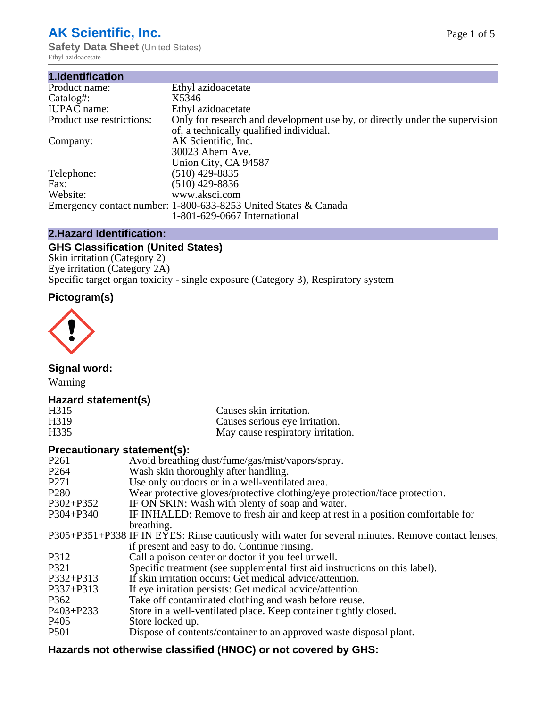# **AK Scientific, Inc.**

**Safety Data Sheet (United States)** Ethyl azidoacetate

| 1.Identification          |                                                                                                                        |
|---------------------------|------------------------------------------------------------------------------------------------------------------------|
| Product name:             | Ethyl azidoacetate                                                                                                     |
| Catalog#:                 | X5346                                                                                                                  |
| <b>IUPAC</b> name:        | Ethyl azidoacetate                                                                                                     |
| Product use restrictions: | Only for research and development use by, or directly under the supervision<br>of, a technically qualified individual. |
| Company:                  | AK Scientific, Inc.                                                                                                    |
|                           | 30023 Ahern Ave.<br>Union City, CA 94587                                                                               |
| Telephone:                | $(510)$ 429-8835                                                                                                       |
| Fax:                      | $(510)$ 429-8836                                                                                                       |
| Website:                  | www.aksci.com                                                                                                          |
|                           | Emergency contact number: 1-800-633-8253 United States & Canada                                                        |
|                           | 1-801-629-0667 International                                                                                           |

# **2.Hazard Identification:**

# **GHS Classification (United States)**

Skin irritation (Category 2) Eye irritation (Category 2A) Specific target organ toxicity - single exposure (Category 3), Respiratory system

# **Pictogram(s)**



**Signal word:**

Warning

## **Hazard statement(s)**

| H <sub>315</sub>  | Causes skin irritation.           |
|-------------------|-----------------------------------|
| H <sub>3</sub> 19 | Causes serious eye irritation.    |
| H335              | May cause respiratory irritation. |

## **Precautionary statement(s):**

| P <sub>261</sub> | Avoid breathing dust/fume/gas/mist/vapors/spray.                                                   |
|------------------|----------------------------------------------------------------------------------------------------|
| P <sub>264</sub> | Wash skin thoroughly after handling.                                                               |
| P <sub>271</sub> | Use only outdoors or in a well-ventilated area.                                                    |
| P <sub>280</sub> | Wear protective gloves/protective clothing/eye protection/face protection.                         |
| P302+P352        | IF ON SKIN: Wash with plenty of soap and water.                                                    |
| $P304 + P340$    | IF INHALED: Remove to fresh air and keep at rest in a position comfortable for                     |
|                  | breathing.                                                                                         |
|                  | P305+P351+P338 IF IN EYES: Rinse cautiously with water for several minutes. Remove contact lenses, |
|                  | if present and easy to do. Continue rinsing.                                                       |
| P312             | Call a poison center or doctor if you feel unwell.                                                 |
| P321             | Specific treatment (see supplemental first aid instructions on this label).                        |
| P332+P313        | If skin irritation occurs: Get medical advice/attention.                                           |
| P337+P313        | If eye irritation persists: Get medical advice/attention.                                          |
| P362             | Take off contaminated clothing and wash before reuse.                                              |
| $P403 + P233$    | Store in a well-ventilated place. Keep container tightly closed.                                   |
| P <sub>405</sub> | Store locked up.                                                                                   |
| P <sub>501</sub> | Dispose of contents/container to an approved waste disposal plant.                                 |
|                  |                                                                                                    |

# **Hazards not otherwise classified (HNOC) or not covered by GHS:**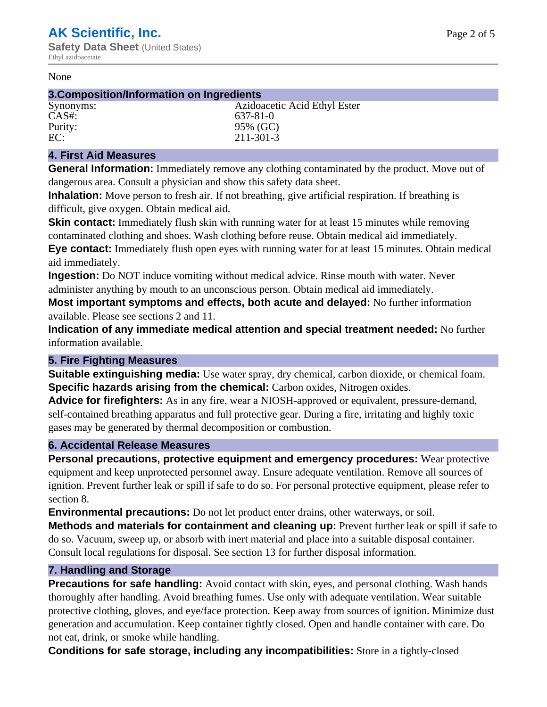#### None

#### **3.Composition/Information on Ingredients**

| Synonyms: | Azidoacetic Acid Ethyl Ester |
|-----------|------------------------------|
| $CAS#$ :  | 637-81-0                     |
| Purity:   | 95% (GC)                     |
| EC:       | $211 - 301 - 3$              |
|           |                              |

#### **4. First Aid Measures**

**General Information:** Immediately remove any clothing contaminated by the product. Move out of dangerous area. Consult a physician and show this safety data sheet.

**Inhalation:** Move person to fresh air. If not breathing, give artificial respiration. If breathing is difficult, give oxygen. Obtain medical aid.

**Skin contact:** Immediately flush skin with running water for at least 15 minutes while removing contaminated clothing and shoes. Wash clothing before reuse. Obtain medical aid immediately. **Eye contact:** Immediately flush open eyes with running water for at least 15 minutes. Obtain medical aid immediately.

**Ingestion:** Do NOT induce vomiting without medical advice. Rinse mouth with water. Never administer anything by mouth to an unconscious person. Obtain medical aid immediately.

**Most important symptoms and effects, both acute and delayed:** No further information available. Please see sections 2 and 11.

**Indication of any immediate medical attention and special treatment needed:** No further information available.

#### **5. Fire Fighting Measures**

**Suitable extinguishing media:** Use water spray, dry chemical, carbon dioxide, or chemical foam. **Specific hazards arising from the chemical:** Carbon oxides, Nitrogen oxides.

**Advice for firefighters:** As in any fire, wear a NIOSH-approved or equivalent, pressure-demand, self-contained breathing apparatus and full protective gear. During a fire, irritating and highly toxic gases may be generated by thermal decomposition or combustion.

#### **6. Accidental Release Measures**

**Personal precautions, protective equipment and emergency procedures:** Wear protective equipment and keep unprotected personnel away. Ensure adequate ventilation. Remove all sources of ignition. Prevent further leak or spill if safe to do so. For personal protective equipment, please refer to section 8.

**Environmental precautions:** Do not let product enter drains, other waterways, or soil.

**Methods and materials for containment and cleaning up:** Prevent further leak or spill if safe to do so. Vacuum, sweep up, or absorb with inert material and place into a suitable disposal container. Consult local regulations for disposal. See section 13 for further disposal information.

#### **7. Handling and Storage**

**Precautions for safe handling:** Avoid contact with skin, eyes, and personal clothing. Wash hands thoroughly after handling. Avoid breathing fumes. Use only with adequate ventilation. Wear suitable protective clothing, gloves, and eye/face protection. Keep away from sources of ignition. Minimize dust generation and accumulation. Keep container tightly closed. Open and handle container with care. Do not eat, drink, or smoke while handling.

**Conditions for safe storage, including any incompatibilities:** Store in a tightly-closed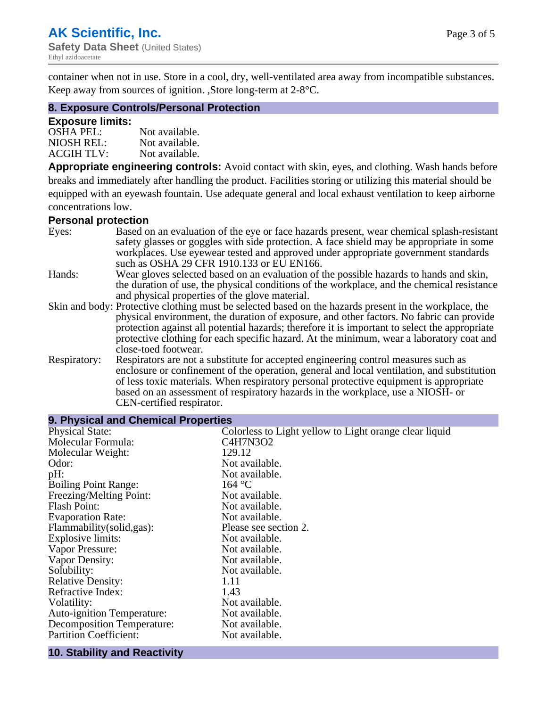container when not in use. Store in a cool, dry, well-ventilated area away from incompatible substances. Keep away from sources of ignition. ,Store long-term at 2-8°C.

#### **8. Exposure Controls/Personal Protection**

#### **Exposure limits:**

| $OSHA$ PEL:       | Not available. |
|-------------------|----------------|
| NIOSH REL:        | Not available. |
| <b>ACGIH TLV:</b> | Not available. |

**Appropriate engineering controls:** Avoid contact with skin, eyes, and clothing. Wash hands before breaks and immediately after handling the product. Facilities storing or utilizing this material should be equipped with an eyewash fountain. Use adequate general and local exhaust ventilation to keep airborne concentrations low.

#### **Personal protection**

| Eyes:        | Based on an evaluation of the eye or face hazards present, wear chemical splash-resistant<br>safety glasses or goggles with side protection. A face shield may be appropriate in some                                                                                                                                                                                                           |
|--------------|-------------------------------------------------------------------------------------------------------------------------------------------------------------------------------------------------------------------------------------------------------------------------------------------------------------------------------------------------------------------------------------------------|
|              | workplaces. Use eyewear tested and approved under appropriate government standards<br>such as OSHA 29 CFR 1910.133 or EU EN166.                                                                                                                                                                                                                                                                 |
| Hands:       | Wear gloves selected based on an evaluation of the possible hazards to hands and skin,                                                                                                                                                                                                                                                                                                          |
|              | the duration of use, the physical conditions of the workplace, and the chemical resistance<br>and physical properties of the glove material.                                                                                                                                                                                                                                                    |
|              | Skin and body: Protective clothing must be selected based on the hazards present in the workplace, the<br>physical environment, the duration of exposure, and other factors. No fabric can provide<br>protection against all potential hazards; therefore it is important to select the appropriate<br>protective clothing for each specific hazard. At the minimum, wear a laboratory coat and |
|              | close-toed footwear.                                                                                                                                                                                                                                                                                                                                                                            |
| Respiratory: | Respirators are not a substitute for accepted engineering control measures such as<br>enclosure or confinement of the operation, general and local ventilation, and substitution<br>of less toxic materials. When respiratory personal protective equipment is appropriate<br>based on an assessment of respiratory hazards in the workplace, use a NIOSH- or<br>CEN-certified respirator.      |

| 9. Physical and Chemical Properties |                                                        |  |
|-------------------------------------|--------------------------------------------------------|--|
| <b>Physical State:</b>              | Colorless to Light yellow to Light orange clear liquid |  |
| Molecular Formula:                  | C4H7N3O2                                               |  |
| Molecular Weight:                   | 129.12                                                 |  |
| Odor:                               | Not available.                                         |  |
| pH:                                 | Not available.                                         |  |
| <b>Boiling Point Range:</b>         | 164 °C                                                 |  |
| Freezing/Melting Point:             | Not available.                                         |  |
| <b>Flash Point:</b>                 | Not available.                                         |  |
| <b>Evaporation Rate:</b>            | Not available.                                         |  |
| Flammability(solid,gas):            | Please see section 2.                                  |  |
| <b>Explosive limits:</b>            | Not available.                                         |  |
| Vapor Pressure:                     | Not available.                                         |  |
| Vapor Density:                      | Not available.                                         |  |
| Solubility:                         | Not available.                                         |  |
| <b>Relative Density:</b>            | 1.11                                                   |  |
| Refractive Index:                   | 1.43                                                   |  |
| Volatility:                         | Not available.                                         |  |
| <b>Auto-ignition Temperature:</b>   | Not available.                                         |  |
| Decomposition Temperature:          | Not available.                                         |  |
| <b>Partition Coefficient:</b>       | Not available.                                         |  |
|                                     |                                                        |  |

#### **10. Stability and Reactivity**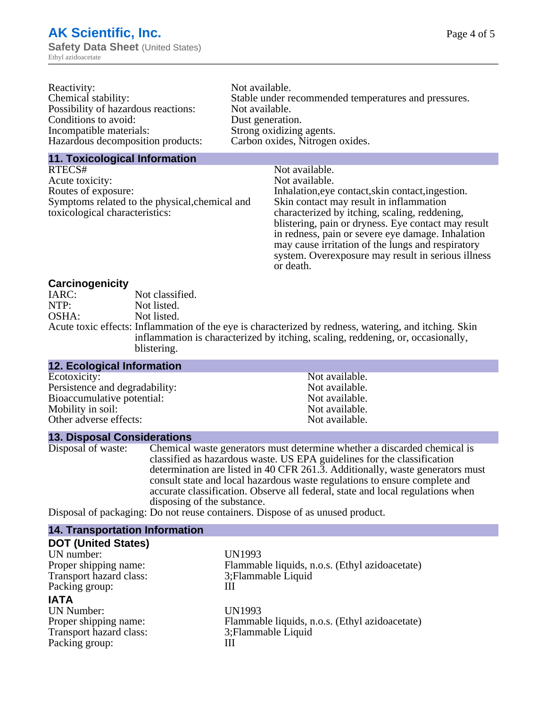| Reactivity:                         | Not available.                                       |
|-------------------------------------|------------------------------------------------------|
| Chemical stability:                 | Stable under recommended temperatures and pressures. |
| Possibility of hazardous reactions: | Not available.                                       |
| Conditions to avoid:                | Dust generation.                                     |
| Incompatible materials:             | Strong oxidizing agents.                             |
| Hazardous decomposition products:   | Carbon oxides, Nitrogen oxides.                      |
|                                     |                                                      |

# **11. Toxicological Information**

| RTECS#                                         | Not available.                                      |
|------------------------------------------------|-----------------------------------------------------|
| Acute toxicity:                                | Not available.                                      |
| Routes of exposure:                            | Inhalation, eye contact, skin contact, ingestion.   |
| Symptoms related to the physical, chemical and | Skin contact may result in inflammation             |
| toxicological characteristics:                 | characterized by itching, scaling, reddening,       |
|                                                | blistering, pain or dryness. Eye contact may result |
|                                                | in redness, pain or severe eye damage. Inhalation   |
|                                                | may cause irritation of the lungs and respiratory   |
|                                                | system. Overexposure may result in serious illness  |

or death.

## **Carcinogenicity**

| IARC: | Not classified.                                                                                       |
|-------|-------------------------------------------------------------------------------------------------------|
| NTP:  | Not listed.                                                                                           |
| OSHA: | Not listed.                                                                                           |
|       | Acute toxic effects: Inflammation of the eye is characterized by redness, watering, and itching. Skin |
|       | inflammation is characterized by itching, scaling, reddening, or, occasionally,                       |
|       | blistering.                                                                                           |

| <b>12. Ecological Information</b> |                |  |
|-----------------------------------|----------------|--|
| Ecotoxicity:                      | Not available. |  |
| Persistence and degradability:    | Not available. |  |
| Bioaccumulative potential:        | Not available. |  |
| Mobility in soil:                 | Not available. |  |
| Other adverse effects:            | Not available. |  |

### **13. Disposal Considerations**

| Disposal of waste: | Chemical waste generators must determine whether a discarded chemical is                                                                                                                                         |
|--------------------|------------------------------------------------------------------------------------------------------------------------------------------------------------------------------------------------------------------|
|                    | classified as hazardous waste. US EPA guidelines for the classification                                                                                                                                          |
|                    | determination are listed in 40 CFR 261.3. Additionally, waste generators must                                                                                                                                    |
|                    | consult state and local hazardous waste regulations to ensure complete and                                                                                                                                       |
|                    | accurate classification. Observe all federal, state and local regulations when                                                                                                                                   |
|                    | disposing of the substance.                                                                                                                                                                                      |
|                    | $\mathbf{D}_{\text{total}}^{t}$ of $\mathbf{f}_{\text{total}}^{t}$ , $\mathbf{f}_{\text{total}}^{t}$ and $\mathbf{f}_{\text{model}}^{t}$ and $\mathbf{f}_{\text{total}}^{t}$ and $\mathbf{f}_{\text{total}}^{t}$ |

Disposal of packaging: Do not reuse containers. Dispose of as unused product.

| <b>14. Transportation Information</b> |                                                |
|---------------------------------------|------------------------------------------------|
| <b>DOT (United States)</b>            |                                                |
| UN number:                            | <b>UN1993</b>                                  |
| Proper shipping name:                 | Flammable liquids, n.o.s. (Ethyl azidoacetate) |
| Transport hazard class:               | 3; Flammable Liquid                            |
| Packing group:                        | Ш                                              |
| <b>IATA</b>                           |                                                |
| <b>UN Number:</b>                     | <b>UN1993</b>                                  |
| Proper shipping name:                 | Flammable liquids, n.o.s. (Ethyl azidoacetate) |
| Transport hazard class:               | 3; Flammable Liquid                            |
| Packing group:                        | Ш                                              |
|                                       |                                                |